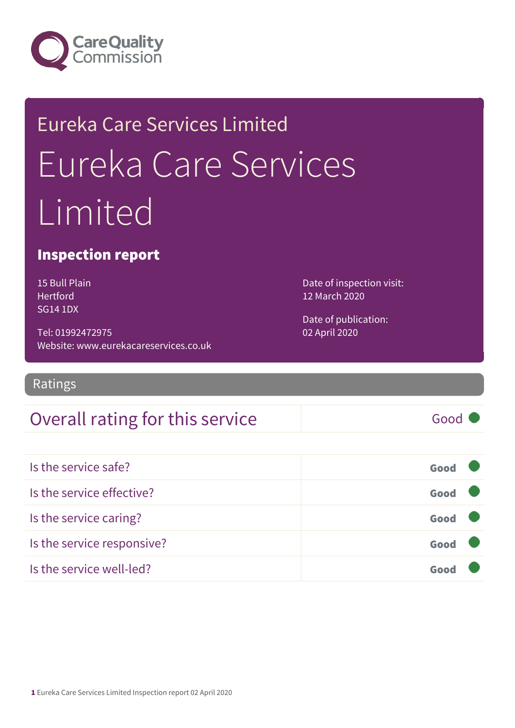

# Eureka Care Services Limited Eureka Care Services Limited

#### Inspection report

15 Bull Plain Hertford SG14 1DX

Tel: 01992472975 Website: www.eurekacareservices.co.uk Date of inspection visit: 12 March 2020

Date of publication: 02 April 2020

Ratings

### Overall rating for this service and a service of the Good

Is the service safe? Good Is the service effective? Contact the service effective? Is the service caring? Good Is the service responsive? Good Is the service well-led? Good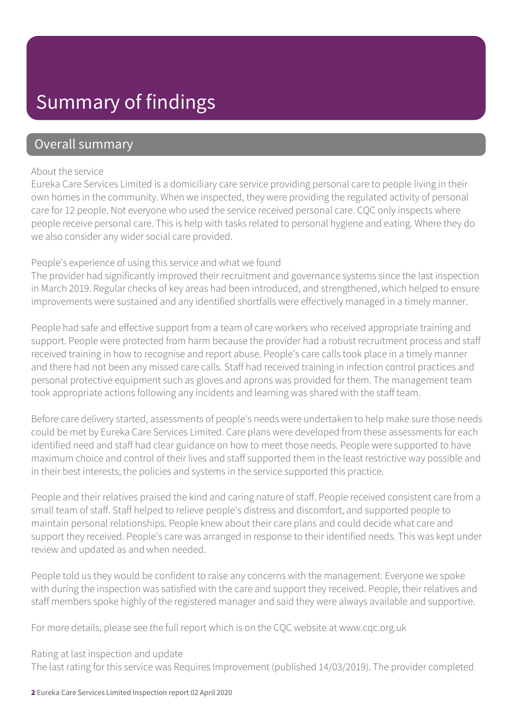### Summary of findings

#### Overall summary

#### About the service

Eureka Care Services Limited is a domiciliary care service providing personal care to people living in their own homes in the community. When we inspected, they were providing the regulated activity of personal care for 12 people. Not everyone who used the service received personal care. CQC only inspects where people receive personal care. This is help with tasks related to personal hygiene and eating. Where they do we also consider any wider social care provided.

#### People's experience of using this service and what we found

The provider had significantly improved their recruitment and governance systems since the last inspection in March 2019. Regular checks of key areas had been introduced, and strengthened, which helped to ensure improvements were sustained and any identified shortfalls were effectively managed in a timely manner.

People had safe and effective support from a team of care workers who received appropriate training and support. People were protected from harm because the provider had a robust recruitment process and staff received training in how to recognise and report abuse. People's care calls took place in a timely manner and there had not been any missed care calls. Staff had received training in infection control practices and personal protective equipment such as gloves and aprons was provided for them. The management team took appropriate actions following any incidents and learning was shared with the staff team.

Before care delivery started, assessments of people's needs were undertaken to help make sure those needs could be met by Eureka Care Services Limited. Care plans were developed from these assessments for each identified need and staff had clear guidance on how to meet those needs. People were supported to have maximum choice and control of their lives and staff supported them in the least restrictive way possible and in their best interests; the policies and systems in the service supported this practice.

People and their relatives praised the kind and caring nature of staff. People received consistent care from a small team of staff. Staff helped to relieve people's distress and discomfort, and supported people to maintain personal relationships. People knew about their care plans and could decide what care and support they received. People's care was arranged in response to their identified needs. This was kept under review and updated as and when needed.

People told us they would be confident to raise any concerns with the management. Everyone we spoke with during the inspection was satisfied with the care and support they received. People, their relatives and staff members spoke highly of the registered manager and said they were always available and supportive.

For more details, please see the full report which is on the CQC website at www.cqc.org.uk

#### Rating at last inspection and update

The last rating for this service was Requires Improvement (published 14/03/2019). The provider completed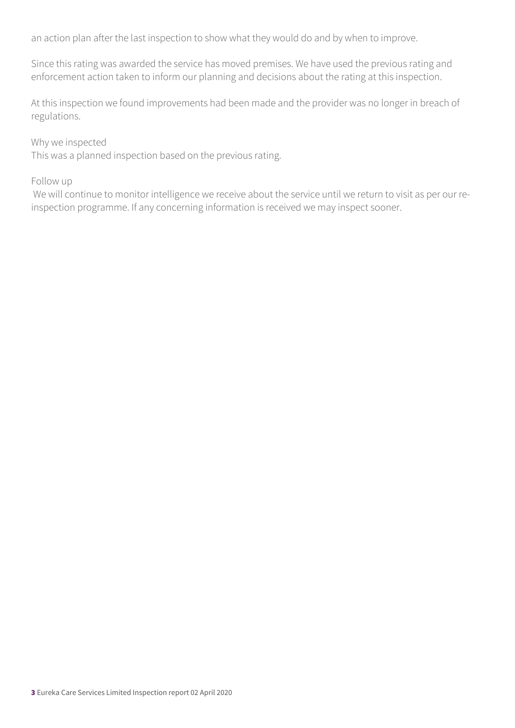an action plan after the last inspection to show what they would do and by when to improve.

Since this rating was awarded the service has moved premises. We have used the previous rating and enforcement action taken to inform our planning and decisions about the rating at this inspection.

At this inspection we found improvements had been made and the provider was no longer in breach of regulations.

#### Why we inspected

This was a planned inspection based on the previous rating.

#### Follow up

 We will continue to monitor intelligence we receive about the service until we return to visit as per our reinspection programme. If any concerning information is received we may inspect sooner.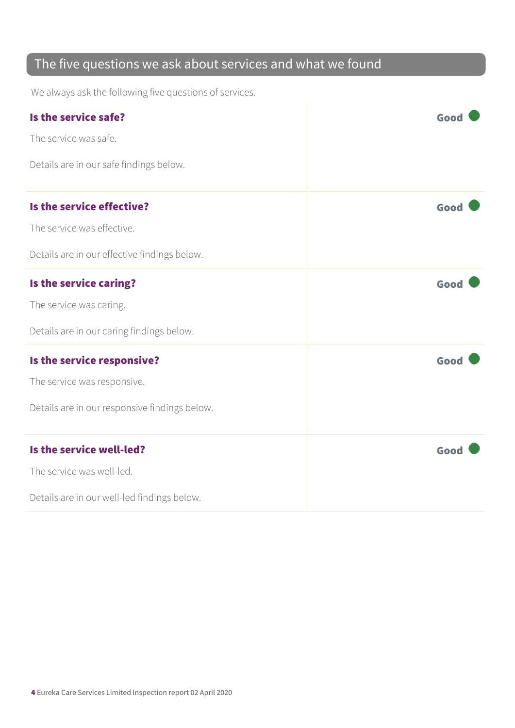### The five questions we ask about services and what we found

We always ask the following five questions of services.

| Is the service safe?<br>The service was safe. | Good |
|-----------------------------------------------|------|
| Details are in our safe findings below.       |      |
| Is the service effective?                     | Good |
| The service was effective.                    |      |
| Details are in our effective findings below.  |      |
| Is the service caring?                        | Good |
| The service was caring.                       |      |
| Details are in our caring findings below.     |      |
| Is the service responsive?                    | Good |
| The service was responsive.                   |      |
| Details are in our responsive findings below. |      |
| Is the service well-led?                      | Good |
| The service was well-led.                     |      |
| Details are in our well-led findings below.   |      |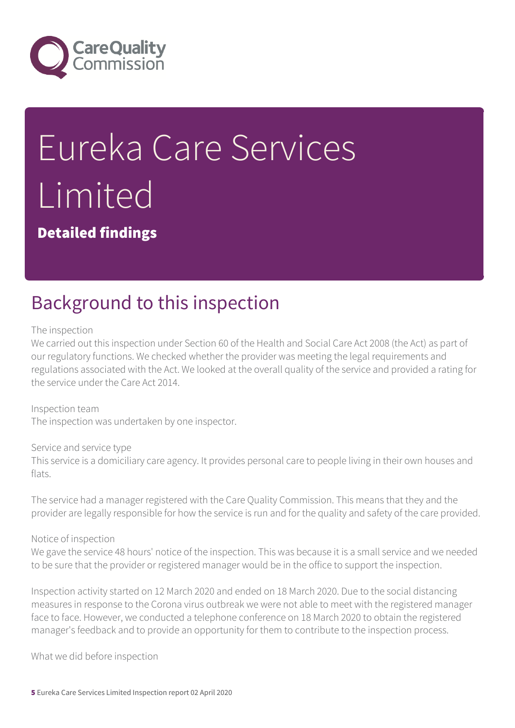

# Eureka Care Services Limited

Detailed findings

### Background to this inspection

The inspection

We carried out this inspection under Section 60 of the Health and Social Care Act 2008 (the Act) as part of our regulatory functions. We checked whether the provider was meeting the legal requirements and regulations associated with the Act. We looked at the overall quality of the service and provided a rating for the service under the Care Act 2014.

Inspection team The inspection was undertaken by one inspector.

Service and service type This service is a domiciliary care agency. It provides personal care to people living in their own houses and flats.

The service had a manager registered with the Care Quality Commission. This means that they and the provider are legally responsible for how the service is run and for the quality and safety of the care provided.

Notice of inspection

We gave the service 48 hours' notice of the inspection. This was because it is a small service and we needed to be sure that the provider or registered manager would be in the office to support the inspection.

Inspection activity started on 12 March 2020 and ended on 18 March 2020. Due to the social distancing measures in response to the Corona virus outbreak we were not able to meet with the registered manager face to face. However, we conducted a telephone conference on 18 March 2020 to obtain the registered manager's feedback and to provide an opportunity for them to contribute to the inspection process.

What we did before inspection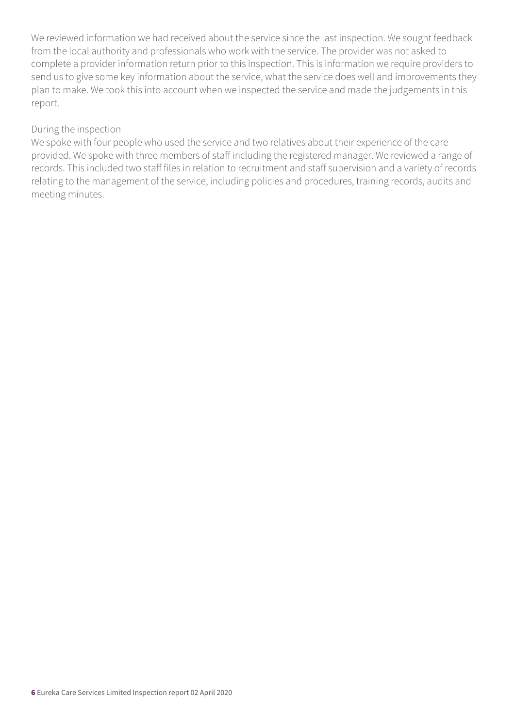We reviewed information we had received about the service since the last inspection. We sought feedback from the local authority and professionals who work with the service. The provider was not asked to complete a provider information return prior to this inspection. This is information we require providers to send us to give some key information about the service, what the service does well and improvements they plan to make. We took this into account when we inspected the service and made the judgements in this report.

#### During the inspection

We spoke with four people who used the service and two relatives about their experience of the care provided. We spoke with three members of staff including the registered manager. We reviewed a range of records. This included two staff files in relation to recruitment and staff supervision and a variety of records relating to the management of the service, including policies and procedures, training records, audits and meeting minutes.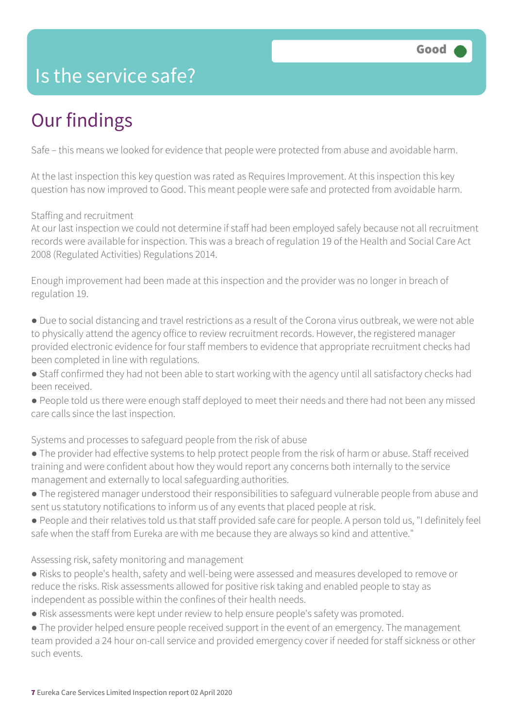### Is the service safe?

# Our findings

Safe – this means we looked for evidence that people were protected from abuse and avoidable harm.

At the last inspection this key question was rated as Requires Improvement. At this inspection this key question has now improved to Good. This meant people were safe and protected from avoidable harm.

#### Staffing and recruitment

At our last inspection we could not determine if staff had been employed safely because not all recruitment records were available for inspection. This was a breach of regulation 19 of the Health and Social Care Act 2008 (Regulated Activities) Regulations 2014.

Enough improvement had been made at this inspection and the provider was no longer in breach of regulation 19.

- Due to social distancing and travel restrictions as a result of the Corona virus outbreak, we were not able to physically attend the agency office to review recruitment records. However, the registered manager provided electronic evidence for four staff members to evidence that appropriate recruitment checks had been completed in line with regulations.
- Staff confirmed they had not been able to start working with the agency until all satisfactory checks had been received.
- People told us there were enough staff deployed to meet their needs and there had not been any missed care calls since the last inspection.

Systems and processes to safeguard people from the risk of abuse

- The provider had effective systems to help protect people from the risk of harm or abuse. Staff received training and were confident about how they would report any concerns both internally to the service management and externally to local safeguarding authorities.
- The registered manager understood their responsibilities to safeguard vulnerable people from abuse and sent us statutory notifications to inform us of any events that placed people at risk.
- People and their relatives told us that staff provided safe care for people. A person told us, "I definitely feel safe when the staff from Eureka are with me because they are always so kind and attentive."

Assessing risk, safety monitoring and management

- Risks to people's health, safety and well-being were assessed and measures developed to remove or reduce the risks. Risk assessments allowed for positive risk taking and enabled people to stay as independent as possible within the confines of their health needs.
- Risk assessments were kept under review to help ensure people's safety was promoted.
- The provider helped ensure people received support in the event of an emergency. The management team provided a 24 hour on-call service and provided emergency cover if needed for staff sickness or other such events.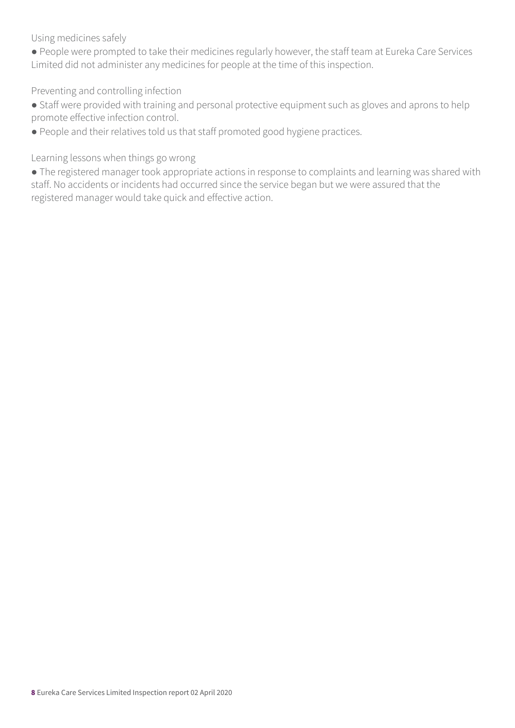Using medicines safely

● People were prompted to take their medicines regularly however, the staff team at Eureka Care Services Limited did not administer any medicines for people at the time of this inspection.

Preventing and controlling infection

- Staff were provided with training and personal protective equipment such as gloves and aprons to help promote effective infection control.
- People and their relatives told us that staff promoted good hygiene practices.

Learning lessons when things go wrong

● The registered manager took appropriate actions in response to complaints and learning was shared with staff. No accidents or incidents had occurred since the service began but we were assured that the registered manager would take quick and effective action.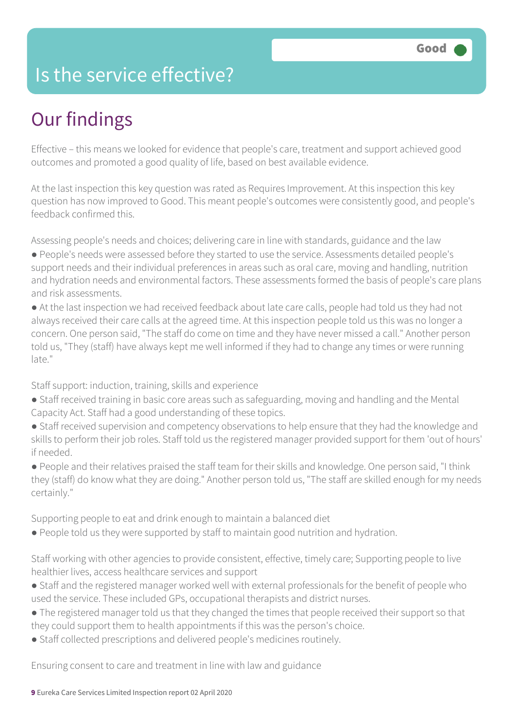### Is the service effective?

## Our findings

Effective – this means we looked for evidence that people's care, treatment and support achieved good outcomes and promoted a good quality of life, based on best available evidence.

At the last inspection this key question was rated as Requires Improvement. At this inspection this key question has now improved to Good. This meant people's outcomes were consistently good, and people's feedback confirmed this.

Assessing people's needs and choices; delivering care in line with standards, guidance and the law

- People's needs were assessed before they started to use the service. Assessments detailed people's support needs and their individual preferences in areas such as oral care, moving and handling, nutrition and hydration needs and environmental factors. These assessments formed the basis of people's care plans and risk assessments.
- At the last inspection we had received feedback about late care calls, people had told us they had not always received their care calls at the agreed time. At this inspection people told us this was no longer a concern. One person said, "The staff do come on time and they have never missed a call." Another person told us, "They (staff) have always kept me well informed if they had to change any times or were running late."

Staff support: induction, training, skills and experience

- Staff received training in basic core areas such as safeguarding, moving and handling and the Mental Capacity Act. Staff had a good understanding of these topics.
- Staff received supervision and competency observations to help ensure that they had the knowledge and skills to perform their job roles. Staff told us the registered manager provided support for them 'out of hours' if needed.
- People and their relatives praised the staff team for their skills and knowledge. One person said, "I think they (staff) do know what they are doing." Another person told us, "The staff are skilled enough for my needs certainly."

Supporting people to eat and drink enough to maintain a balanced diet

● People told us they were supported by staff to maintain good nutrition and hydration.

Staff working with other agencies to provide consistent, effective, timely care; Supporting people to live healthier lives, access healthcare services and support

- Staff and the registered manager worked well with external professionals for the benefit of people who used the service. These included GPs, occupational therapists and district nurses.
- The registered manager told us that they changed the times that people received their support so that they could support them to health appointments if this was the person's choice.
- Staff collected prescriptions and delivered people's medicines routinely.

Ensuring consent to care and treatment in line with law and guidance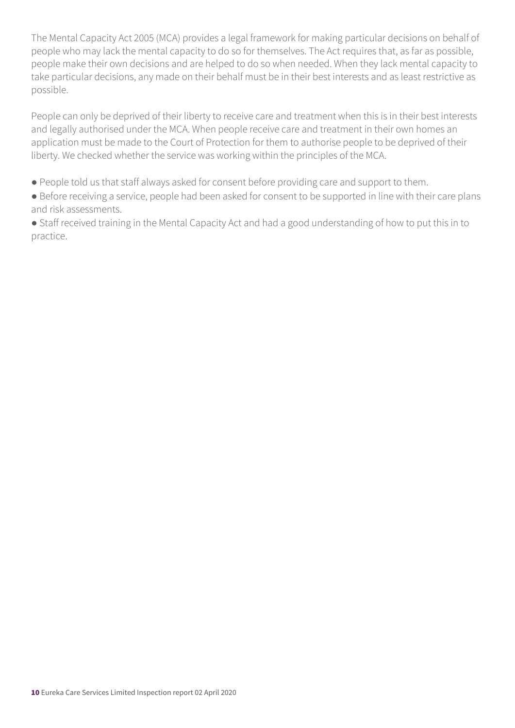The Mental Capacity Act 2005 (MCA) provides a legal framework for making particular decisions on behalf of people who may lack the mental capacity to do so for themselves. The Act requires that, as far as possible, people make their own decisions and are helped to do so when needed. When they lack mental capacity to take particular decisions, any made on their behalf must be in their best interests and as least restrictive as possible.

People can only be deprived of their liberty to receive care and treatment when this is in their best interests and legally authorised under the MCA. When people receive care and treatment in their own homes an application must be made to the Court of Protection for them to authorise people to be deprived of their liberty. We checked whether the service was working within the principles of the MCA.

- People told us that staff always asked for consent before providing care and support to them.
- Before receiving a service, people had been asked for consent to be supported in line with their care plans and risk assessments.

● Staff received training in the Mental Capacity Act and had a good understanding of how to put this in to practice.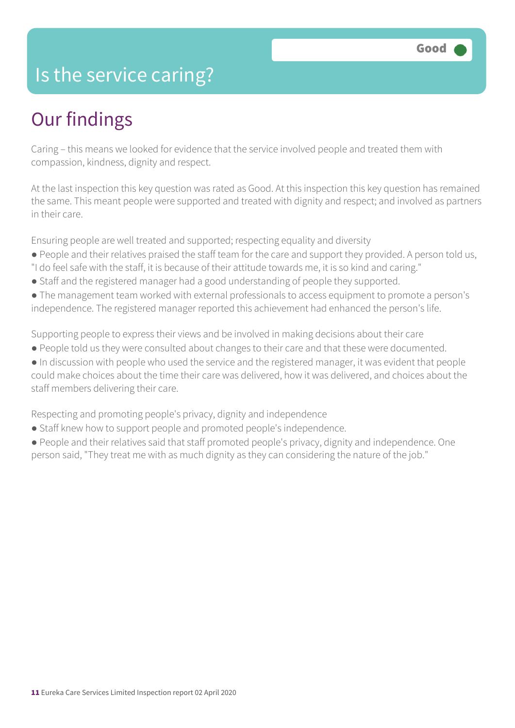### Is the service caring?

### Our findings

Caring – this means we looked for evidence that the service involved people and treated them with compassion, kindness, dignity and respect.

At the last inspection this key question was rated as Good. At this inspection this key question has remained the same. This meant people were supported and treated with dignity and respect; and involved as partners in their care.

Ensuring people are well treated and supported; respecting equality and diversity

- People and their relatives praised the staff team for the care and support they provided. A person told us,
- "I do feel safe with the staff, it is because of their attitude towards me, it is so kind and caring."
- Staff and the registered manager had a good understanding of people they supported.
- The management team worked with external professionals to access equipment to promote a person's independence. The registered manager reported this achievement had enhanced the person's life.

Supporting people to express their views and be involved in making decisions about their care

● People told us they were consulted about changes to their care and that these were documented.

● In discussion with people who used the service and the registered manager, it was evident that people could make choices about the time their care was delivered, how it was delivered, and choices about the staff members delivering their care.

Respecting and promoting people's privacy, dignity and independence

● Staff knew how to support people and promoted people's independence.

● People and their relatives said that staff promoted people's privacy, dignity and independence. One person said, "They treat me with as much dignity as they can considering the nature of the job."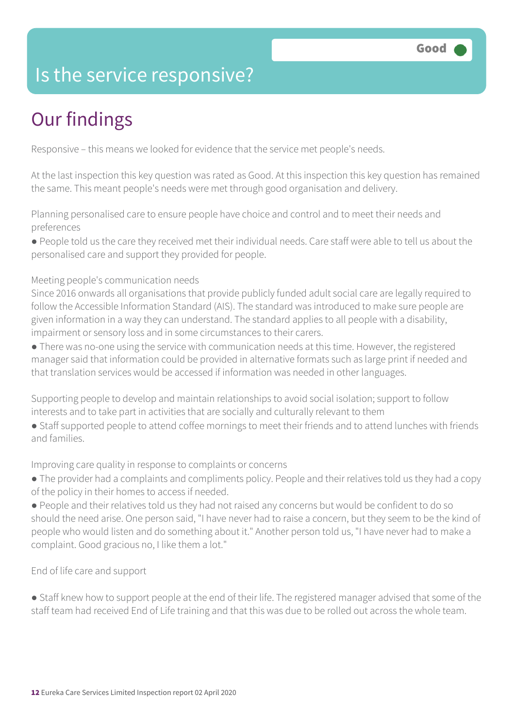### Is the service responsive?

# Our findings

Responsive – this means we looked for evidence that the service met people's needs.

At the last inspection this key question was rated as Good. At this inspection this key question has remained the same. This meant people's needs were met through good organisation and delivery.

Planning personalised care to ensure people have choice and control and to meet their needs and preferences

● People told us the care they received met their individual needs. Care staff were able to tell us about the personalised care and support they provided for people.

Meeting people's communication needs

Since 2016 onwards all organisations that provide publicly funded adult social care are legally required to follow the Accessible Information Standard (AIS). The standard was introduced to make sure people are given information in a way they can understand. The standard applies to all people with a disability, impairment or sensory loss and in some circumstances to their carers.

● There was no-one using the service with communication needs at this time. However, the registered manager said that information could be provided in alternative formats such as large print if needed and that translation services would be accessed if information was needed in other languages.

Supporting people to develop and maintain relationships to avoid social isolation; support to follow interests and to take part in activities that are socially and culturally relevant to them

● Staff supported people to attend coffee mornings to meet their friends and to attend lunches with friends and families.

#### Improving care quality in response to complaints or concerns

- The provider had a complaints and compliments policy. People and their relatives told us they had a copy of the policy in their homes to access if needed.
- People and their relatives told us they had not raised any concerns but would be confident to do so should the need arise. One person said, "I have never had to raise a concern, but they seem to be the kind of people who would listen and do something about it." Another person told us, "I have never had to make a complaint. Good gracious no, I like them a lot."

End of life care and support

● Staff knew how to support people at the end of their life. The registered manager advised that some of the staff team had received End of Life training and that this was due to be rolled out across the whole team.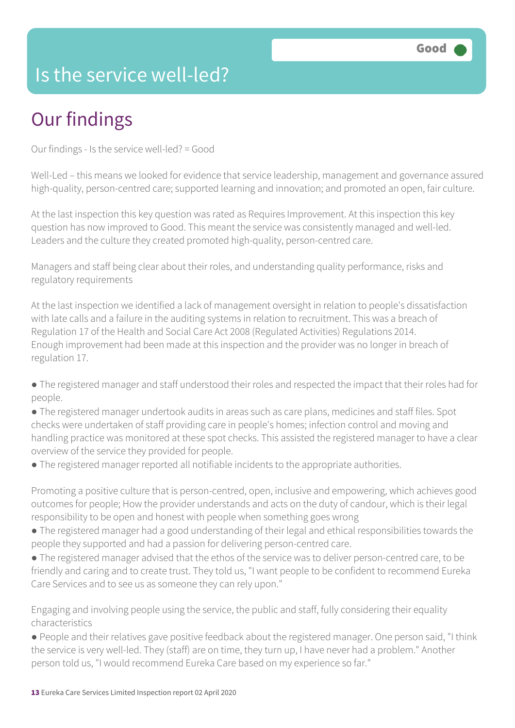### Is the service well-led?

# Our findings

Our findings - Is the service well-led? = Good

Well-Led – this means we looked for evidence that service leadership, management and governance assured high-quality, person-centred care; supported learning and innovation; and promoted an open, fair culture.

At the last inspection this key question was rated as Requires Improvement. At this inspection this key question has now improved to Good. This meant the service was consistently managed and well-led. Leaders and the culture they created promoted high-quality, person-centred care.

Managers and staff being clear about their roles, and understanding quality performance, risks and regulatory requirements

At the last inspection we identified a lack of management oversight in relation to people's dissatisfaction with late calls and a failure in the auditing systems in relation to recruitment. This was a breach of Regulation 17 of the Health and Social Care Act 2008 (Regulated Activities) Regulations 2014. Enough improvement had been made at this inspection and the provider was no longer in breach of regulation 17.

- The registered manager and staff understood their roles and respected the impact that their roles had for people.
- The registered manager undertook audits in areas such as care plans, medicines and staff files. Spot checks were undertaken of staff providing care in people's homes; infection control and moving and handling practice was monitored at these spot checks. This assisted the registered manager to have a clear overview of the service they provided for people.
- The registered manager reported all notifiable incidents to the appropriate authorities.

Promoting a positive culture that is person-centred, open, inclusive and empowering, which achieves good outcomes for people; How the provider understands and acts on the duty of candour, which is their legal responsibility to be open and honest with people when something goes wrong

- The registered manager had a good understanding of their legal and ethical responsibilities towards the people they supported and had a passion for delivering person-centred care.
- The registered manager advised that the ethos of the service was to deliver person-centred care, to be friendly and caring and to create trust. They told us, "I want people to be confident to recommend Eureka Care Services and to see us as someone they can rely upon."

Engaging and involving people using the service, the public and staff, fully considering their equality characteristics

● People and their relatives gave positive feedback about the registered manager. One person said, "I think the service is very well-led. They (staff) are on time, they turn up, I have never had a problem." Another person told us, "I would recommend Eureka Care based on my experience so far."